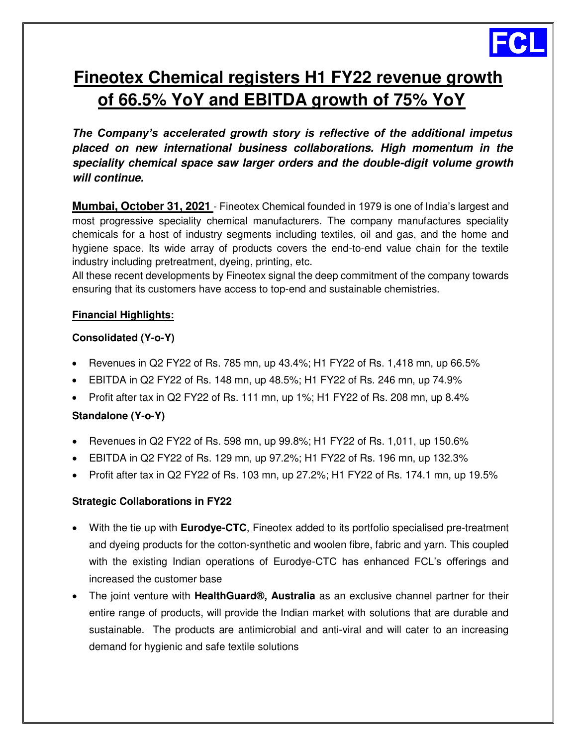

# **Fineotex Chemical registers H1 FY22 revenue growth of 66.5% YoY and EBITDA growth of 75% YoY**

*The Company's accelerated growth story is reflective of the additional impetus placed on new international business collaborations. High momentum in the speciality chemical space saw larger orders and the double-digit volume growth will continue.* 

**Mumbai, October 31, 2021** - Fineotex Chemical founded in 1979 is one of India's largest and most progressive speciality chemical manufacturers. The company manufactures speciality chemicals for a host of industry segments including textiles, oil and gas, and the home and hygiene space. Its wide array of products covers the end-to-end value chain for the textile industry including pretreatment, dyeing, printing, etc.

All these recent developments by Fineotex signal the deep commitment of the company towards ensuring that its customers have access to top-end and sustainable chemistries.

## **Financial Highlights:**

## **Consolidated (Y-o-Y)**

- Revenues in Q2 FY22 of Rs. 785 mn, up  $43.4\%$ ; H1 FY22 of Rs. 1,418 mn, up 66.5%
- **EBITDA in Q2 FY22 of Rs. 148 mn, up 48.5%; H1 FY22 of Rs. 246 mn, up 74.9%**
- Profit after tax in Q2 FY22 of Rs. 111 mn, up 1%; H1 FY22 of Rs. 208 mn, up 8.4%

# **Standalone (Y-o-Y)**

- Revenues in Q2 FY22 of Rs. 598 mn, up 99.8%; H1 FY22 of Rs. 1,011, up 150.6%
- **EBITDA** in Q2 FY22 of Rs. 129 mn, up 97.2%; H1 FY22 of Rs. 196 mn, up 132.3%
- Profit after tax in Q2 FY22 of Rs. 103 mn, up 27.2%; H1 FY22 of Rs. 174.1 mn, up 19.5%

### **Strategic Collaborations in FY22**

- With the tie up with **Eurodye-CTC**, Fineotex added to its portfolio specialised pre-treatment and dyeing products for the cotton-synthetic and woolen fibre, fabric and yarn. This coupled with the existing Indian operations of Eurodye-CTC has enhanced FCL's offerings and increased the customer base
- The joint venture with **HealthGuard®, Australia** as an exclusive channel partner for their entire range of products, will provide the Indian market with solutions that are durable and sustainable. The products are antimicrobial and anti-viral and will cater to an increasing demand for hygienic and safe textile solutions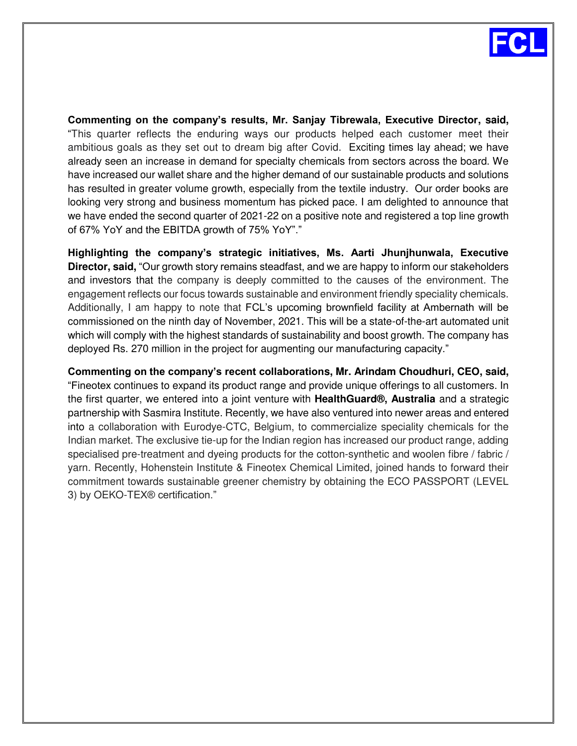

**Commenting on the company's results, Mr. Sanjay Tibrewala, Executive Director, said,** "This quarter reflects the enduring ways our products helped each customer meet their ambitious goals as they set out to dream big after Covid. Exciting times lay ahead; we have already seen an increase in demand for specialty chemicals from sectors across the board. We have increased our wallet share and the higher demand of our sustainable products and solutions has resulted in greater volume growth, especially from the textile industry. Our order books are looking very strong and business momentum has picked pace. I am delighted to announce that we have ended the second quarter of 2021-22 on a positive note and registered a top line growth of 67% YoY and the EBITDA growth of 75% YoY"."

**Highlighting the company's strategic initiatives, Ms. Aarti Jhunjhunwala, Executive Director, said,** "Our growth story remains steadfast, and we are happy to inform our stakeholders and investors that the company is deeply committed to the causes of the environment. The engagement reflects our focus towards sustainable and environment friendly speciality chemicals. Additionally, I am happy to note that FCL's upcoming brownfield facility at Ambernath will be commissioned on the ninth day of November, 2021. This will be a state-of-the-art automated unit which will comply with the highest standards of sustainability and boost growth. The company has deployed Rs. 270 million in the project for augmenting our manufacturing capacity."

**Commenting on the company's recent collaborations, Mr. Arindam Choudhuri, CEO, said,**  "Fineotex continues to expand its product range and provide unique offerings to all customers. In the first quarter, we entered into a joint venture with **HealthGuard®, Australia** and a strategic partnership with Sasmira Institute. Recently, we have also ventured into newer areas and entered into a collaboration with Eurodye-CTC, Belgium, to commercialize speciality chemicals for the Indian market. The exclusive tie-up for the Indian region has increased our product range, adding specialised pre-treatment and dyeing products for the cotton-synthetic and woolen fibre / fabric / yarn. Recently, Hohenstein Institute & Fineotex Chemical Limited, joined hands to forward their commitment towards sustainable greener chemistry by obtaining the ECO PASSPORT (LEVEL 3) by OEKO-TEX® certification."